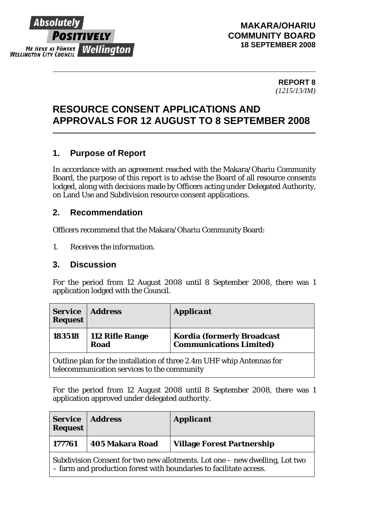

#### **MAKARA/OHARIU COMMUNITY BOARD 18 SEPTEMBER 2008**

**REPORT 8**  *(1215/13/IM)* 

# **RESOURCE CONSENT APPLICATIONS AND APPROVALS FOR 12 AUGUST TO 8 SEPTEMBER 2008**

# **1. Purpose of Report**

In accordance with an agreement reached with the Makara/Ohariu Community Board, the purpose of this report is to advise the Board of all resource consents lodged, along with decisions made by Officers acting under Delegated Authority, on Land Use and Subdivision resource consent applications.

## **2. Recommendation**

Officers recommend that the Makara/Ohariu Community Board:

*1. Receives the information.* 

#### **3. Discussion**

For the period from 12 August 2008 until 8 September 2008, there was 1 application lodged with the Council.

| <b>Service</b><br><b>Request</b>                                                                                                                                                                                                                                                                             | <i>Address</i>          | <b>Applicant</b>                                                    |
|--------------------------------------------------------------------------------------------------------------------------------------------------------------------------------------------------------------------------------------------------------------------------------------------------------------|-------------------------|---------------------------------------------------------------------|
| 183518                                                                                                                                                                                                                                                                                                       | 112 Rifle Range<br>Road | <b>Kordia (formerly Broadcast</b><br><b>Communications Limited)</b> |
| $\Omega$ and $\Omega$ and $\Omega$ and $\Omega$ is the distribution of the set of the set of $\Omega$ and $\Omega$ and $\Omega$ and $\Omega$ and $\Omega$ and $\Omega$ and $\Omega$ and $\Omega$ and $\Omega$ and $\Omega$ and $\Omega$ and $\Omega$ and $\Omega$ and $\Omega$ and $\Omega$ and $\Omega$ and |                         |                                                                     |

Outline plan for the installation of three 2.4m UHF whip Antennas for telecommunication services to the community

For the period from 12 August 2008 until 8 September 2008, there was 1 application approved under delegated authority.

| <b>Request</b>                                                                                                                                    | <b>Service</b> Address | <b>Applicant</b>                  |
|---------------------------------------------------------------------------------------------------------------------------------------------------|------------------------|-----------------------------------|
| 177761                                                                                                                                            | <b>405 Makara Road</b> | <b>Village Forest Partnership</b> |
| Subdivision Consent for two new allotments. Lot one – new dwelling, Lot two<br>- farm and production forest with boundaries to facilitate access. |                        |                                   |